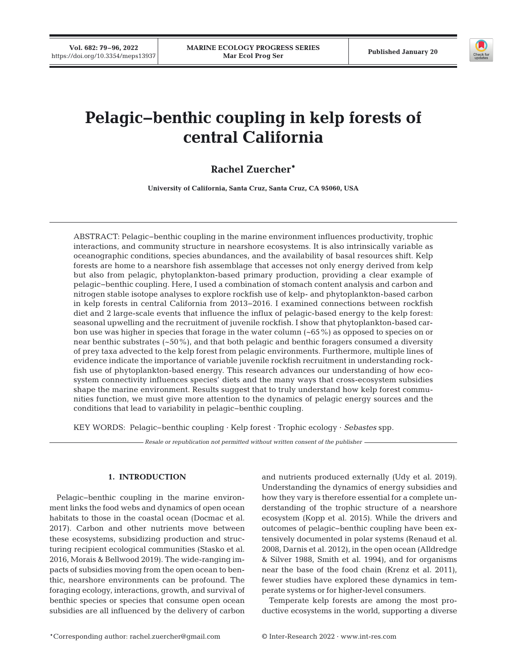**Vol. 682: 79–96, 2022**



# **Pelagic−benthic coupling in kelp forests of central California**

# **Rachel Zuercher\***

**University of California, Santa Cruz, Santa Cruz, CA 95060, USA**

ABSTRACT: Pelagic−benthic coupling in the marine environment influences productivity, trophic interactions, and community structure in nearshore ecosystems. It is also intrinsically variable as oceanographic conditions, species abundances, and the availability of basal resources shift. Kelp forests are home to a nearshore fish assemblage that accesses not only energy derived from kelp but also from pelagic, phytoplankton-based primary production, providing a clear example of pelagic−benthic coupling. Here, I used a combination of stomach content analysis and carbon and nitrogen stable isotope analyses to explore rockfish use of kelp- and phytoplankton-based carbon in kelp forests in central California from 2013−2016. I examined connections between rockfish diet and 2 large-scale events that influence the influx of pelagic-based energy to the kelp forest: seasonal upwelling and the recruitment of juvenile rockfish. I show that phytoplankton-based carbon use was higher in species that forage in the water column (~65%) as opposed to species on or near benthic substrates (~50%), and that both pelagic and benthic foragers consumed a diversity of prey taxa advected to the kelp forest from pelagic environments. Furthermore, multiple lines of evidence indicate the importance of variable juvenile rockfish recruitment in understanding rockfish use of phytoplankton-based energy. This research advances our understanding of how ecosystem connectivity influences species' diets and the many ways that cross-ecosystem subsidies shape the marine environment. Results suggest that to truly understand how kelp forest communities function, we must give more attention to the dynamics of pelagic energy sources and the conditions that lead to variability in pelagic−benthic coupling.

KEY WORDS: Pelagic−benthic coupling · Kelp forest · Trophic ecology · *Sebastes* spp.

*Resale or republication not permitted without written consent of the publisher*

## **1. INTRODUCTION**

Pelagic−benthic coupling in the marine environment links the food webs and dynamics of open ocean habitats to those in the coastal ocean (Docmac et al. 2017). Carbon and other nutrients move between these ecosystems, subsidizing production and structuring recipient ecological communities (Stasko et al. 2016, Morais & Bellwood 2019). The wide-ranging impacts of subsidies moving from the open ocean to benthic, nearshore environments can be profound. The foraging ecology, interactions, growth, and survival of benthic species or species that consume open ocean subsidies are all influenced by the delivery of carbon and nutrients produced externally (Udy et al. 2019). Understanding the dynamics of energy subsidies and how they vary is therefore essential for a complete understanding of the trophic structure of a nearshore ecosystem (Kopp et al. 2015). While the drivers and outcomes of pelagic−benthic coupling have been extensively documented in polar systems (Renaud et al. 2008, Darnis et al. 2012), in the open ocean (Alldredge & Silver 1988, Smith et al. 1994), and for organisms near the base of the food chain (Krenz et al. 2011), fewer studies have explored these dynamics in temperate systems or for higher-level consumers.

Temperate kelp forests are among the most productive ecosystems in the world, supporting a diverse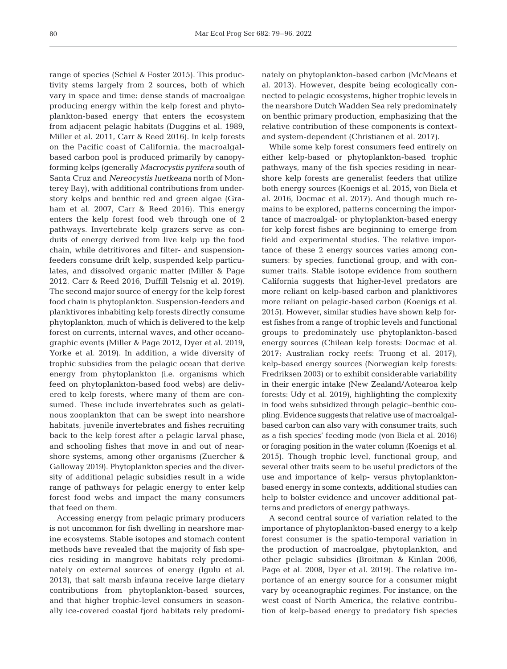range of species (Schiel & Foster 2015). This productivity stems largely from 2 sources, both of which vary in space and time: dense stands of macroalgae producing energy within the kelp forest and phytoplankton-based energy that enters the ecosystem from adjacent pelagic habitats (Duggins et al. 1989, Miller et al. 2011, Carr & Reed 2016). In kelp forests on the Pacific coast of California, the macroalgalbased carbon pool is produced primarily by canopyforming kelps (generally *Macrocystis pyrifera* south of Santa Cruz and *Nereocystis luetkeana* north of Monterey Bay), with additional contributions from understory kelps and benthic red and green algae (Graham et al. 2007, Carr & Reed 2016). This energy enters the kelp forest food web through one of 2 pathways. Invertebrate kelp grazers serve as conduits of energy derived from live kelp up the food chain, while detritivores and filter- and suspensionfeeders consume drift kelp, suspended kelp particulates, and dissolved organic matter (Miller & Page 2012, Carr & Reed 2016, Duffill Telsnig et al. 2019). The second major source of energy for the kelp forest food chain is phytoplankton. Suspension-feeders and planktivores inhabiting kelp forests directly consume phytoplankton, much of which is delivered to the kelp forest on currents, internal waves, and other oceanographic events (Miller & Page 2012, Dyer et al. 2019, Yorke et al. 2019). In addition, a wide diversity of trophic subsidies from the pelagic ocean that derive energy from phytoplankton (i.e. organisms which feed on phytoplankton-based food webs) are delivered to kelp forests, where many of them are consumed. These include invertebrates such as gelatinous zooplankton that can be swept into nearshore habitats, juvenile invertebrates and fishes recruiting back to the kelp forest after a pelagic larval phase, and schooling fishes that move in and out of nearshore systems, among other organisms (Zuercher & Galloway 2019). Phytoplankton species and the diversity of additional pelagic subsidies result in a wide range of pathways for pelagic energy to enter kelp forest food webs and impact the many consumers that feed on them.

Accessing energy from pelagic primary producers is not uncommon for fish dwelling in nearshore marine ecosystems. Stable isotopes and stomach content methods have revealed that the majority of fish species residing in mangrove habitats rely predominately on external sources of energy (Igulu et al. 2013), that salt marsh infauna receive large dietary contributions from phytoplankton-based sources, and that higher trophic-level consumers in seasonally ice-covered coastal fjord habitats rely predominately on phytoplankton-based carbon (McMeans et al. 2013). However, despite being ecologically connected to pelagic ecosystems, higher trophic levels in the nearshore Dutch Wadden Sea rely predominately on benthic primary production, emphasizing that the relative contribution of these components is contextand system-dependent (Christianen et al. 2017).

While some kelp forest consumers feed entirely on either kelp-based or phytoplankton-based trophic pathways, many of the fish species residing in nearshore kelp forests are generalist feeders that utilize both energy sources (Koenigs et al. 2015, von Biela et al. 2016, Docmac et al. 2017). And though much re mains to be explored, patterns concerning the importance of macroalgal- or phytoplankton-based energy for kelp forest fishes are beginning to emerge from field and experimental studies. The relative importance of these 2 energy sources varies among consumers: by species, functional group, and with consumer traits. Stable isotope evidence from southern California suggests that higher-level predators are more reliant on kelp-based carbon and planktivores more reliant on pelagic-based carbon (Koenigs et al. 2015). However, similar studies have shown kelp forest fishes from a range of trophic levels and functional groups to predominately use phytoplankton-based energy sources (Chilean kelp forests: Docmac et al. 2017; Australian rocky reefs: Truong et al. 2017), kelp-based energy sources (Norwegian kelp forests: Fredriksen 2003) or to exhibit considerable variability in their energic intake (New Zealand/Aotearoa kelp forests: Udy et al. 2019), highlighting the complexity in food webs subsidized through pelagic−benthic coupling. Evidence suggests that relative use of macroalgalbased carbon can also vary with consumer traits, such as a fish species' feeding mode (von Biela et al. 2016) or foraging position in the water column (Koenigs et al. 2015). Though trophic level, functional group, and several other traits seem to be useful predictors of the use and importance of kelp- versus phytoplanktonbased energy in some contexts, additional studies can help to bolster evidence and uncover additional patterns and predictors of energy pathways.

A second central source of variation related to the importance of phytoplankton-based energy to a kelp forest consumer is the spatio-temporal variation in the production of macroalgae, phytoplankton, and other pelagic subsidies (Broitman & Kinlan 2006, Page et al. 2008, Dyer et al. 2019). The relative importance of an energy source for a consumer might vary by oceanographic regimes. For instance, on the west coast of North America, the relative contribution of kelp-based energy to predatory fish species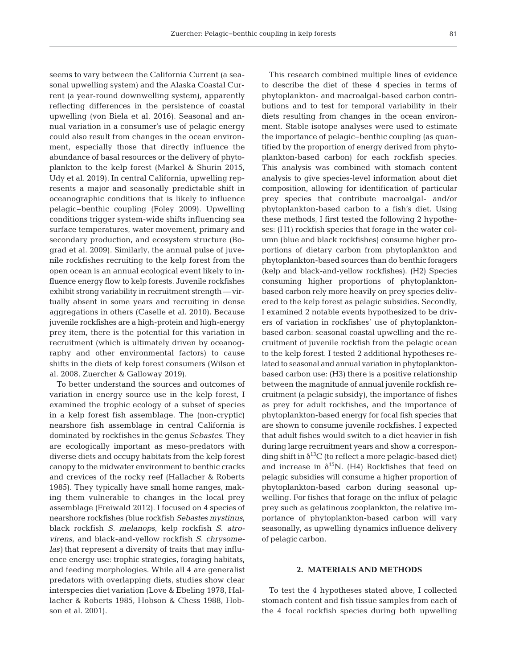seems to vary between the California Current (a seasonal upwelling system) and the Alaska Coastal Current (a year-round downwelling system), apparently reflecting differences in the persistence of coastal upwelling (von Biela et al. 2016). Seasonal and annual variation in a consumer's use of pelagic energy could also result from changes in the ocean environment, especially those that directly influence the abundance of basal resources or the delivery of phytoplankton to the kelp forest (Markel & Shurin 2015, Udy et al. 2019). In central California, upwelling represents a major and seasonally predictable shift in oceanographic conditions that is likely to influence pelagic−benthic coupling (Foley 2009). Upwelling conditions trigger system-wide shifts influencing sea surface temperatures, water movement, primary and secondary production, and ecosystem structure (Bograd et al. 2009). Similarly, the annual pulse of juvenile rockfishes recruiting to the kelp forest from the open ocean is an annual ecological event likely to in fluence energy flow to kelp forests. Juvenile rockfishes exhibit strong variability in recruitment strength — virtually absent in some years and recruiting in dense aggregations in others (Caselle et al. 2010). Because juvenile rockfishes are a high-protein and high-energy prey item, there is the potential for this variation in recruitment (which is ultimately driven by oceanography and other environmental factors) to cause shifts in the diets of kelp forest consumers (Wilson et al. 2008, Zuercher & Galloway 2019).

To better understand the sources and outcomes of variation in energy source use in the kelp forest, I examined the trophic ecology of a subset of species in a kelp forest fish assemblage. The (non-cryptic) nearshore fish assemblage in central California is dominated by rockfishes in the genus *Sebastes*. They are ecologically important as meso-predators with diverse diets and occupy habitats from the kelp forest canopy to the midwater environment to benthic cracks and crevices of the rocky reef (Hallacher & Roberts 1985). They typically have small home ranges, making them vulnerable to changes in the local prey assemblage (Freiwald 2012). I focused on 4 species of nearshore rockfishes (blue rockfish *Sebastes mystinus*, black rockfish *S. melanops*, kelp rockfish *S. atrovirens*, and black-and-yellow rockfish *S. chrysomelas)* that represent a diversity of traits that may influence energy use: trophic strategies, foraging habitats, and feeding morphologies. While all 4 are generalist predators with overlapping diets, studies show clear interspecies diet variation (Love & Ebeling 1978, Hallacher & Roberts 1985, Hobson & Chess 1988, Hobson et al. 2001).

This research combined multiple lines of evidence to describe the diet of these 4 species in terms of phytoplankton- and macroalgal-based carbon contributions and to test for temporal variability in their diets resulting from changes in the ocean environment. Stable isotope analyses were used to estimate the importance of pelagic−benthic coupling (as quantified by the proportion of energy derived from phytoplankton-based carbon) for each rockfish species. This analysis was combined with stomach content analysis to give species-level information about diet composition, allowing for identification of particular prey species that contribute macroalgal- and/or phytoplankton-based carbon to a fish's diet. Using these methods, I first tested the following 2 hypotheses: (H1) rockfish species that forage in the water column (blue and black rockfishes) consume higher proportions of dietary carbon from phytoplankton and phytoplankton-based sources than do benthic foragers (kelp and black-and-yellow rockfishes). (H2) Species consuming higher proportions of phytoplanktonbased carbon rely more heavily on prey species delivered to the kelp forest as pelagic subsidies. Secondly, I examined 2 notable events hypothesized to be drivers of variation in rockfishes' use of phytoplanktonbased carbon: seasonal coastal up welling and the recruitment of juvenile rockfish from the pelagic ocean to the kelp forest. I tested 2 additional hypotheses related to seasonal and annual variation in phytoplanktonbased carbon use: (H3) there is a positive relationship between the magnitude of annual juvenile rockfish recruitment (a pelagic subsidy), the importance of fishes as prey for adult rockfishes, and the importance of phytoplankton-based energy for focal fish species that are shown to consume juvenile rockfishes. I expected that adult fishes would switch to a diet heavier in fish during large recruitment years and show a corresponding shift in  $\delta^{13}$ C (to reflect a more pelagic-based diet) and increase in  $\delta^{15}N$ . (H4) Rockfishes that feed on pelagic subsidies will consume a higher proportion of phytoplankton-based carbon during seasonal upwelling. For fishes that forage on the influx of pelagic prey such as gelatinous zooplankton, the relative importance of phytoplankton-based carbon will vary seasonally, as upwelling dynamics influence delivery of pelagic carbon.

## **2. MATERIALS AND METHODS**

To test the 4 hypotheses stated above, I collected stomach content and fish tissue samples from each of the 4 focal rockfish species during both upwelling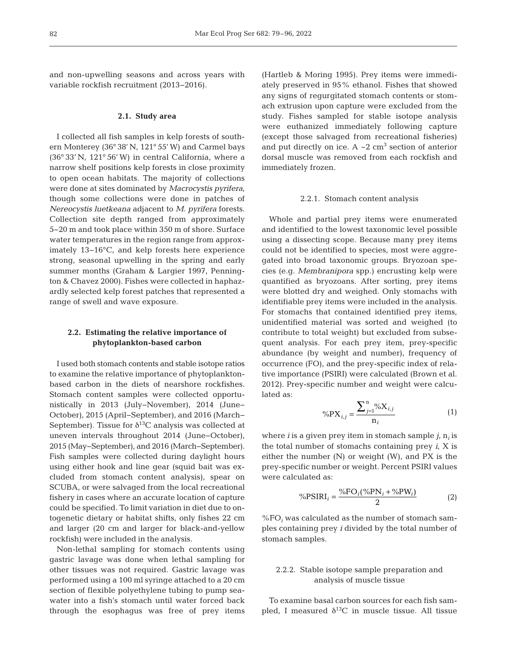and non-upwelling seasons and across years with variable rockfish recruitment (2013−2016).

#### **2.1. Study area**

I collected all fish samples in kelp forests of southern Monterey (36° 38' N, 121° 55' W) and Carmel bays (36° 33' N, 121° 56' W) in central California, where a narrow shelf positions kelp forests in close proximity to open ocean habitats. The majority of collections were done at sites dominated by *Macrocystis pyrifera*, though some collections were done in patches of *Nereocystis luetkeana* adjacent to *M. pyrifera* forests. Collection site depth ranged from approximately 5−20 m and took place within 350 m of shore. Surface water temperatures in the region range from approximately 13−16°C, and kelp forests here experience strong, seasonal upwelling in the spring and early summer months (Graham & Largier 1997, Pennington & Chavez 2000). Fishes were collected in haphazardly selected kelp forest patches that represented a range of swell and wave exposure.

# **2.2. Estimating the relative importance of phytoplankton-based carbon**

I used both stomach contents and stable isotope ratios to examine the relative importance of phytoplanktonbased carbon in the diets of nearshore rockfishes. Stomach content samples were collected opportunistically in 2013 (July−November), 2014 (June− October), 2015 (April−September), and 2016 (March− September). Tissue for  $\delta^{13}$ C analysis was collected at uneven intervals throughout 2014 (June− October), 2015 (May−September), and 2016 (March− September). Fish samples were collected during daylight hours using either hook and line gear (squid bait was excluded from stomach content analysis), spear on SCUBA, or were salvaged from the local recreational fishery in cases where an accurate location of capture could be specified. To limit variation in diet due to ontogenetic dietary or habitat shifts, only fishes 22 cm and larger (20 cm and larger for black-and-yellow rockfish) were included in the analysis.

Non-lethal sampling for stomach contents using gastric lavage was done when lethal sampling for other tissues was not required. Gastric lavage was performed using a 100 ml syringe attached to a 20 cm section of flexible polyethylene tubing to pump seawater into a fish's stomach until water forced back through the esophagus was free of prey items (Hartleb & Moring 1995). Prey items were immediately preserved in 95% ethanol. Fishes that showed any signs of regurgitated stomach contents or stomach extrusion upon capture were excluded from the study. Fishes sampled for stable isotope analysis were euthanized immediately following capture (except those salvaged from recreational fisheries) and put directly on ice. A  $\sim$  2 cm<sup>3</sup> section of anterior dorsal muscle was removed from each rockfish and immediately frozen.

#### 2.2.1. Stomach content analysis

Whole and partial prey items were enumerated and identified to the lowest taxonomic level possible using a dissecting scope. Because many prey items could not be identified to species, most were aggregated into broad taxonomic groups. Bryozoan species (e.g. *Membranipora* spp.) encrusting kelp were quantified as bryozoans. After sorting, prey items were blotted dry and weighed. Only stomachs with identifiable prey items were included in the analysis. For stomachs that contained identified prey items, unidentified material was sorted and weighed (to contribute to total weight) but excluded from subsequent analysis. For each prey item, prey-specific abundance (by weight and number), frequency of occurrence (FO), and the prey-specific index of relative importance (PSIRI) were calculated (Brown et al. 2012). Prey-specific number and weight were calculated as:

$$
\% \text{PX}_{i,j} = \frac{\sum_{j=1}^{n} \phi_{0} X_{i,j}}{n_{i}} \tag{1}
$$

where *i* is a given prey item in stomach sample  $j$ ,  $n<sub>i</sub>$  is the total number of stomachs containing prey *i*, X is either the number (N) or weight (W), and PX is the prey-specific number or weight. Percent PSIRI values were calculated as:

$$
\%PSIRI_i = \frac{\%FO_i(\%PN_i + \%PW_i)}{2} \tag{2}
$$

 $\%FO_i$  was calculated as the number of stomach samples containing prey *i* divided by the total number of stomach samples.

## 2.2.2. Stable isotope sample preparation and analysis of muscle tissue

To examine basal carbon sources for each fish sampled, I measured  $\delta^{13}$ C in muscle tissue. All tissue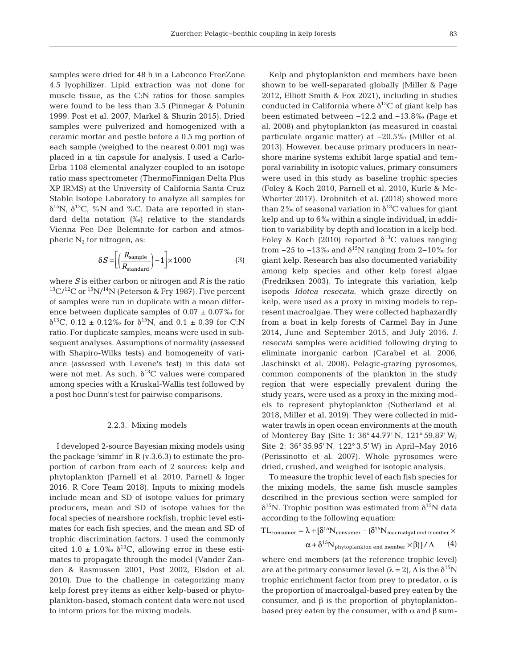samples were dried for 48 h in a Labconco FreeZone 4.5 lyophilizer. Lipid extraction was not done for muscle tissue, as the C:N ratios for those samples were found to be less than 3.5 (Pinnegar & Polunin 1999, Post et al. 2007, Markel & Shurin 2015). Dried samples were pulverized and homogenized with a ceramic mortar and pestle before a 0.5 mg portion of each sample (weighed to the nearest 0.001 mg) was placed in a tin capsule for analysis. I used a Carlo-Erba 1108 elemental analyzer coupled to an isotope ratio mass spectrometer (ThermoFinnigan Delta Plus XP IRMS) at the University of California Santa Cruz Stable Isotope Laboratory to analyze all samples for δ<sup>15</sup>N, δ<sup>13</sup>C, %N and %C. Data are reported in standard delta notation (‰) relative to the standards Vienna Pee Dee Belemnite for carbon and atmospheric  $N_2$  for nitrogen, as:

$$
\delta S = \left[ \left( \frac{R_{\text{sample}}}{R_{\text{standard}}} \right) - 1 \right] \times 1000 \tag{3}
$$

where *S* is either carbon or nitrogen and *R* is the ratio  $13C/12C$  or  $15N/14N$  (Peterson & Fry 1987). Five percent of samples were run in duplicate with a mean difference between duplicate samples of  $0.07 \pm 0.07\%$  for δ<sup>13</sup>C, 0.12 ± 0.12‰ for δ<sup>15</sup>N, and 0.1 ± 0.39 for C:N ratio. For duplicate samples, means were used in subsequent analyses. Assumptions of normality (assessed with Shapiro-Wilks tests) and homogeneity of variance (assessed with Levene's test) in this data set were not met. As such,  $\delta^{13}$ C values were compared among species with a Kruskal-Wallis test followed by a post hoc Dunn's test for pairwise comparisons.

#### 2.2.3. Mixing models

I developed 2-source Bayesian mixing models using the package 'simmr' in R (v.3.6.3) to estimate the proportion of carbon from each of 2 sources: kelp and phytoplankton (Parnell et al. 2010, Parnell & Inger 2016, R Core Team 2018). Inputs to mixing models include mean and SD of isotope values for primary producers, mean and SD of isotope values for the focal species of nearshore rockfish, trophic level estimates for each fish species, and the mean and SD of trophic discrimination factors. I used the commonly cited 1.0  $\pm$  1.0‰  $\delta^{13}C$ , allowing error in these estimates to propagate through the model (Vander Zanden & Rasmussen 2001, Post 2002, Elsdon et al. 2010). Due to the challenge in categorizing many kelp forest prey items as either kelp-based or phytoplankton-based, stomach content data were not used to inform priors for the mixing models.

Kelp and phytoplankton end members have been shown to be well-separated globally (Miller & Page 2012, Elliott Smith & Fox 2021), including in studies conducted in California where  $\delta^{13}$ C of giant kelp has been estimated between −12.2 and −13.8‰ (Page et al. 2008) and phytoplankton (as measured in coastal particulate organic matter) at −20.5‰ (Miller et al. 2013). However, because primary producers in nearshore marine systems exhibit large spatial and temporal variability in isotopic values, primary consumers were used in this study as baseline trophic species (Foley & Koch 2010, Parnell et al. 2010, Kurle & Mc - Whorter 2017). Drobnitch et al. (2018) showed more than 2‰ of seasonal variation in  $\delta^{13}C$  values for giant kelp and up to 6‰ within a single individual, in addition to variability by depth and location in a kelp bed. Foley & Koch (2010) reported  $\delta^{13}$ C values ranging from  $-25$  to  $-13$ ‰ and  $\delta^{15}N$  ranging from 2-10‰ for giant kelp. Research has also documented variability among kelp species and other kelp forest algae (Fredriksen 2003). To integrate this variation, kelp isopods *Idotea resecata*, which graze directly on kelp, were used as a proxy in mixing models to represent macroalgae. They were collected haphazardly from a boat in kelp forests of Carmel Bay in June 2014, June and September 2015, and July 2016. *I. resecata* samples were acidified following drying to eliminate inorganic carbon (Carabel et al. 2006, Jaschinski et al. 2008). Pelagic-grazing pyrosomes, common components of the plankton in the study region that were especially prevalent during the study years, were used as a proxy in the mixing models to represent phytoplankton (Sutherland et al. 2018, Miller et al. 2019). They were collected in midwater trawls in open ocean environments at the mouth of Monterey Bay (Site 1: 36° 44.77' N, 121° 59.87' W; Site 2: 36° 35.95' N, 122° 3.5' W) in April−May 2016 (Perissinotto et al. 2007). Whole pyrosomes were dried, crushed, and weighed for isotopic analysis.

To measure the trophic level of each fish species for the mixing models, the same fish muscle samples described in the previous section were sampled for  $δ<sup>15</sup>N$ . Trophic position was estimated from  $δ<sup>15</sup>N$  data according to the following equation:

$$
TL_{\text{consumer}} = \lambda + [\delta^{15} N_{\text{consumer}} - (\delta^{15} N_{\text{macroalgal end member}} \times
$$

$$
\alpha + \delta^{15} N_{\text{phytoplankton end member}} \times \beta) ] / \Delta \tag{4}
$$

where end members (at the reference trophic level) are at the primary consumer level  $(\lambda = 2)$ ,  $\Delta$  is the  $\delta^{15}N$ trophic enrichment factor from prey to predator,  $\alpha$  is the proportion of macroalgal-based prey eaten by the consumer, and β is the proportion of phytoplanktonbased prey eaten by the consumer, with  $\alpha$  and  $\beta$  sum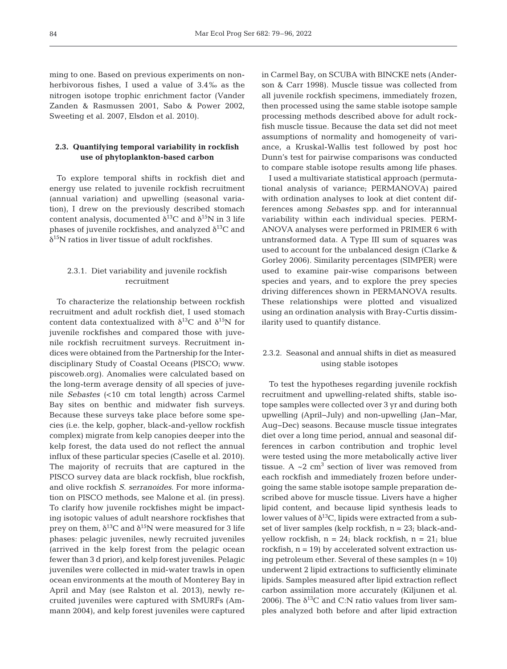ming to one. Based on previous experiments on nonherbivorous fishes, I used a value of 3.4‰ as the nitrogen isotope trophic enrichment factor (Vander Zanden & Rasmussen 2001, Sabo & Power 2002, Sweeting et al. 2007, Elsdon et al. 2010).

# **2.3. Quantifying temporal variability in rockfish use of phytoplankton-based carbon**

To explore temporal shifts in rockfish diet and energy use related to juvenile rockfish recruitment (annual variation) and upwelling (seasonal variation), I drew on the previously described stomach content analysis, documented  $\delta^{13}$ C and  $\delta^{15}$ N in 3 life phases of juvenile rockfishes, and analyzed  $\delta^{13}C$  and  $\delta^{15}$ N ratios in liver tissue of adult rockfishes.

# 2.3.1. Diet variability and juvenile rockfish recruitment

To characterize the relationship between rockfish recruitment and adult rockfish diet, I used stomach content data contextualized with  $\delta^{13}C$  and  $\delta^{15}N$  for juvenile rockfishes and compared those with juvenile rockfish recruitment surveys. Recruitment in dices were obtained from the Partnership for the Interdisciplinary Study of Coastal Oceans (PISCO; www. piscoweb.org). Anomalies were calculated based on the long-term average density of all species of juvenile *Sebastes* (<10 cm total length) across Carmel Bay sites on benthic and midwater fish surveys. Because these surveys take place before some species (i.e. the kelp, gopher, black-and-yellow rockfish complex) migrate from kelp canopies deeper into the kelp forest, the data used do not reflect the annual influx of these particular species (Caselle et al. 2010). The majority of recruits that are captured in the PISCO survey data are black rockfish, blue rockfish, and olive rockfish *S. serranoides*. For more information on PISCO methods, see Malone et al. (in press). To clarify how juvenile rockfishes might be impacting isotopic values of adult nearshore rockfishes that prey on them,  $\delta^{13}$ C and  $\delta^{15}$ N were measured for 3 life phases: pelagic juveniles, newly recruited juveniles (arrived in the kelp forest from the pelagic ocean fewer than 3 d prior), and kelp forest juveniles. Pelagic juveniles were collected in mid-water trawls in open ocean environments at the mouth of Monterey Bay in April and May (see Ralston et al. 2013), newly re cruited juveniles were captured with SMURFs (Am mann 2004), and kelp forest juveniles were captured

in Carmel Bay, on SCUBA with BINCKE nets (Anderson & Carr 1998). Muscle tissue was collected from all juvenile rockfish specimens, immediately frozen, then processed using the same stable isotope sample processing methods described above for adult rockfish muscle tissue. Because the data set did not meet assumptions of normality and homogeneity of variance, a Kruskal-Wallis test followed by post hoc Dunn's test for pairwise comparisons was conducted to compare stable isotope results among life phases.

I used a multivariate statistical approach (permutational analysis of variance; PERMANOVA) paired with ordination analyses to look at diet content differences among *Sebastes* spp. and for interannual variability within each individual species. PERM-ANOVA analyses were performed in PRIMER 6 with untransformed data. A Type III sum of squares was used to account for the unbalanced design (Clarke & Gorley 2006). Similarity percentages (SIMPER) were used to examine pair-wise comparisons between species and years, and to explore the prey species driving differences shown in PERMANOVA results. These relationships were plotted and visualized using an ordination analysis with Bray-Curtis dissimilarity used to quantify distance.

# 2.3.2. Seasonal and annual shifts in diet as measured using stable isotopes

To test the hypotheses regarding juvenile rockfish recruitment and upwelling-related shifts, stable isotope samples were collected over 3 yr and during both upwelling (April−July) and non-upwelling (Jan− Mar, Aug−Dec) seasons. Because muscle tissue integrates diet over a long time period, annual and seasonal differences in carbon contribution and trophic level were tested using the more metabolically active liver tissue. A  $\sim$ 2 cm<sup>3</sup> section of liver was removed from each rockfish and immediately frozen before undergoing the same stable isotope sample preparation described above for muscle tissue. Livers have a higher lipid content, and because lipid synthesis leads to lower values of  $\delta^{13}C$ , lipids were extracted from a subset of liver samples (kelp rockfish,  $n = 23$ ; black-andyellow rockfish,  $n = 24$ ; black rockfish,  $n = 21$ ; blue rockfish,  $n = 19$ ) by accelerated solvent extraction using petroleum ether. Several of these samples  $(n = 10)$ underwent 2 lipid extractions to sufficiently eliminate lipids. Samples measured after lipid extraction reflect carbon assimilation more accurately (Kiljunen et al. 2006). The  $\delta^{13}C$  and C:N ratio values from liver samples analyzed both before and after lipid extraction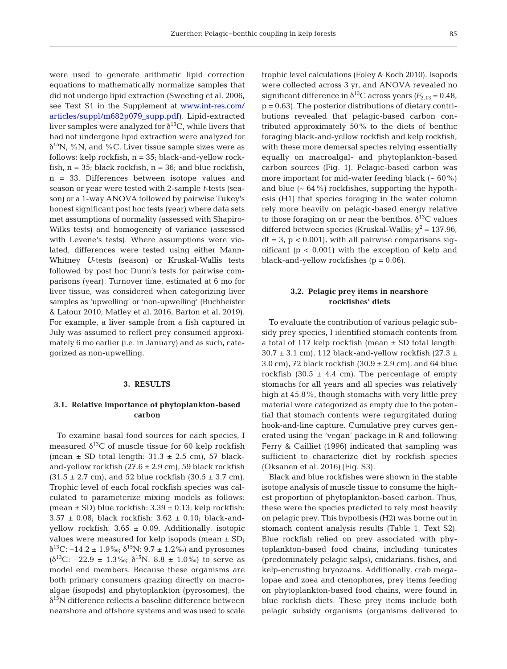were used to generate arithmetic lipid correction equations to mathematically normalize samples that did not undergo lipid extraction (Sweeting et al. 2006, see Text S1 in the Supplement at www.int-res.com/ articles/suppl/m682p079\_supp.pdf). Lipid-extracted liver samples were analyzed for  $\delta^{13}C$ , while livers that had not undergone lipid extraction were analyzed for  $\delta^{15}$ N, %N, and %C. Liver tissue sample sizes were as follows: kelp rockfish, n = 35; black-and-yellow rockfish,  $n = 35$ ; black rockfish,  $n = 36$ ; and blue rockfish, n = 33. Differences between isotope values and season or year were tested with 2-sample *t*-tests (season) or a 1-way ANOVA followed by pairwise Tukey's honest significant post hoc tests (year) where data sets met assumptions of normality (assessed with Shapiro-Wilks tests) and homogeneity of variance (assessed with Levene's tests). Where assumptions were violated, differences were tested using either Mann-Whitney *U*-tests (season) or Kruskal-Wallis tests followed by post hoc Dunn's tests for pairwise comparisons (year). Turnover time, estimated at 6 mo for liver tissue, was considered when categorizing liver samples as 'upwelling' or 'non-upwelling' (Buchheister & Latour 2010, Matley et al. 2016, Barton et al. 2019). For example, a liver sample from a fish captured in July was assumed to reflect prey consumed approximately 6 mo earlier (i.e. in January) and as such, categorized as non-upwelling.

### **3. RESULTS**

## **3.1. Relative importance of phytoplankton-based carbon**

To examine basal food sources for each species, I measured  $\delta^{13}$ C of muscle tissue for 60 kelp rockfish (mean  $\pm$  SD total length: 31.3  $\pm$  2.5 cm), 57 blackand-yellow rockfish  $(27.6 \pm 2.9 \text{ cm})$ , 59 black rockfish  $(31.5 \pm 2.7 \text{ cm})$ , and 52 blue rockfish  $(30.5 \pm 3.7 \text{ cm})$ . Trophic level of each focal rockfish species was calculated to parameterize mixing models as follows: (mean  $\pm$  SD) blue rockfish: 3.39  $\pm$  0.13; kelp rockfish:  $3.57 \pm 0.08$ ; black rockfish:  $3.62 \pm 0.10$ ; black-andyellow rockfish:  $3.65 \pm 0.09$ . Additionally, isotopic values were measured for kelp isopods (mean  $\pm$  SD;  $δ<sup>13</sup>C: -14.2 ± 1.9‰; δ<sup>15</sup>N: 9.7 ± 1.2‰)$  and pyrosomes (δ<sup>13</sup>C: −22.9 ± 1.3‰; δ<sup>15</sup>N: 8.8 ± 1.0‰) to serve as model end members. Because these organisms are both primary consumers grazing directly on macroalgae (isopods) and phytoplankton (pyrosomes), the  $\delta^{15}$ N difference reflects a baseline difference between nearshore and offshore systems and was used to scale trophic level calculations (Foley & Koch 2010). Isopods were collected across 3 yr, and ANOVA revealed no significant difference in  $\delta^{13}$ C across years  $(F_{2,13} = 0.48)$ ,  $p = 0.63$ . The posterior distributions of dietary contributions revealed that pelagic-based carbon contributed approximately 50% to the diets of benthic foraging black-and-yellow rockfish and kelp rockfish, with these more demersal species relying essentially equally on macroalgal- and phytoplankton-based carbon sources (Fig. 1). Pelagic-based carbon was more important for mid-water feeding black  $({\sim 60\%})$ and blue  $({\sim 64\%})$  rockfishes, supporting the hypothesis (H1) that species foraging in the water column rely more heavily on pelagic-based energy relative to those foraging on or near the benthos.  $\delta^{13}$ C values differed between species (Kruskal-Wallis;  $\chi^2$  = 137.96,  $df = 3$ ,  $p < 0.001$ ), with all pairwise comparisons significant  $(p < 0.001)$  with the exception of kelp and black-and-yellow rockfishes  $(p = 0.06)$ .

## **3.2. Pelagic prey items in nearshore rockfishes' diets**

To evaluate the contribution of various pelagic subsidy prey species, I identified stomach contents from a total of 117 kelp rockfish (mean  $\pm$  SD total length:  $30.7 \pm 3.1$  cm), 112 black-and-yellow rockfish (27.3  $\pm$ 3.0 cm), 72 black rockfish  $(30.9 \pm 2.9 \text{ cm})$ , and 64 blue rockfish  $(30.5 \pm 4.4 \text{ cm})$ . The percentage of empty stomachs for all years and all species was relatively high at 45.8%, though stomachs with very little prey material were categorized as empty due to the potential that stomach contents were regurgitated during hook-and-line capture. Cumulative prey curves generated using the 'vegan' package in R and following Ferry & Cailliet (1996) indicated that sampling was sufficient to characterize diet by rockfish species (Oksanen et al. 2016) (Fig. S3).

Black and blue rockfishes were shown in the stable isotope analysis of muscle tissue to consume the highest proportion of phytoplankton-based carbon. Thus, these were the species predicted to rely most heavily on pelagic prey. This hypothesis (H2) was borne out in stomach content analysis results (Table 1, Text S2). Blue rockfish relied on prey associated with phytoplankton-based food chains, including tunicates (predominately pelagic salps), cnidarians, fishes, and kelp-encrusting bryozoans. Additionally, crab megalopae and zoea and ctenophores, prey items feeding on phytoplankton-based food chains, were found in blue rockfish diets. These prey items include both pelagic subsidy organisms (organisms delivered to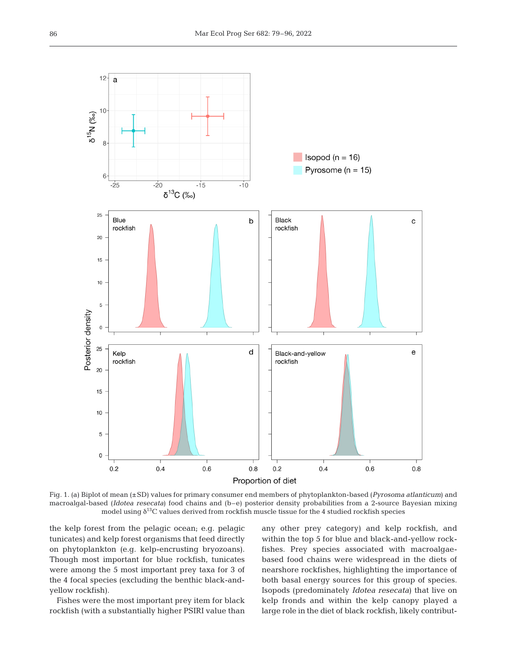

Fig. 1. (a) Biplot of mean (±SD) values for primary consumer end members of phytoplankton-based (*Pyrosoma atlanticum*) and macroalgal-based (*Idotea resecata*) food chains and (b–e) posterior density probabilities from a 2-source Bayesian mixing model using  $\delta^{13}$ C values derived from rockfish muscle tissue for the 4 studied rockfish species

the kelp forest from the pelagic ocean; e.g. pelagic tunicates) and kelp forest organisms that feed directly on phytoplankton (e.g. kelp-encrusting bryozoans). Though most important for blue rockfish, tunicates were among the 5 most important prey taxa for 3 of the 4 focal species (excluding the benthic black-andyellow rockfish).

Fishes were the most important prey item for black rockfish (with a substantially higher PSIRI value than

any other prey category) and kelp rockfish, and within the top 5 for blue and black-and-yellow rockfishes. Prey species associated with macroalgaebased food chains were widespread in the diets of nearshore rockfishes, highlighting the importance of both basal energy sources for this group of species. Isopods (predominately *Idotea resecata*) that live on kelp fronds and within the kelp canopy played a large role in the diet of black rockfish, likely contribut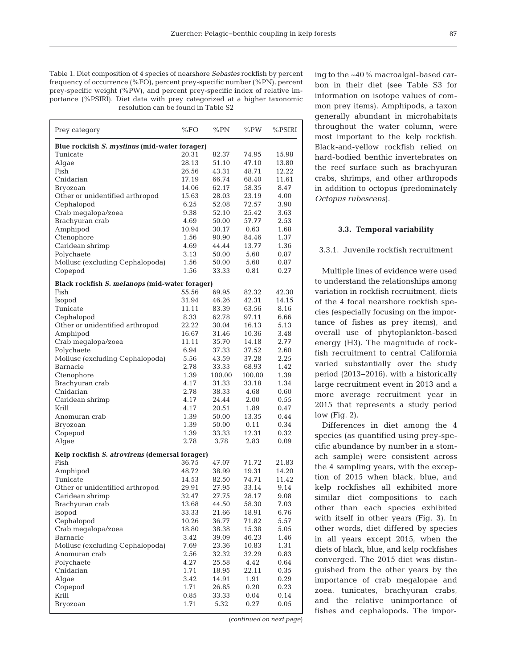Table 1. Diet composition of 4 species of nearshore *Sebastes* rockfish by percent frequency of occurrence (%FO), percent prey-specific number (%PN), percent prey-specific weight (%PW), and percent prey-specific index of relative importance (%PSIRI). Diet data with prey categorized at a higher taxonomic resolution can be found in Table S2

| Prey category                                  | %FO          | %PN            | %PW            | %PSIRI       |  |  |  |
|------------------------------------------------|--------------|----------------|----------------|--------------|--|--|--|
| Blue rockfish S. mystinus (mid-water forager)  |              |                |                |              |  |  |  |
| Tunicate                                       | 20.31        | 82.37          | 74.95          | 15.98        |  |  |  |
| Algae                                          | 28.13        | 51.10          | 47.10          | 13.80        |  |  |  |
| Fish                                           | 26.56        | 43.31          | 48.71          | 12.22        |  |  |  |
| Cnidarian                                      | 17.19        | 66.74          | 68.40          | 11.61        |  |  |  |
| Bryozoan                                       | 14.06        | 62.17          | 58.35          | 8.47         |  |  |  |
| Other or unidentified arthropod                | 15.63        | 28.03          | 23.19          | 4.00         |  |  |  |
| Cephalopod                                     | 6.25         | 52.08          | 72.57          | 3.90         |  |  |  |
| Crab megalopa/zoea                             | 9.38         | 52.10          | 25.42          | 3.63         |  |  |  |
| Brachyuran crab                                | 4.69         | 50.00          | 57.77          | 2.53         |  |  |  |
| Amphipod                                       | 10.94        | 30.17          | 0.63           | 1.68         |  |  |  |
| Ctenophore                                     | 1.56         | 90.90          | 84.46          | 1.37         |  |  |  |
| Caridean shrimp                                | 4.69         | 44.44          | 13.77          | 1.36         |  |  |  |
| Polychaete                                     | 3.13         | 50.00          | 5.60           | 0.87         |  |  |  |
| Mollusc (excluding Cephalopoda)                | 1.56         | 50.00          | 5.60           | 0.87         |  |  |  |
| Copepod                                        | 1.56         | 33.33          | 0.81           | 0.27         |  |  |  |
| Black rockfish S. melanops (mid-water forager) |              |                |                |              |  |  |  |
| Fish                                           | 55.56        | 69.95          | 82.32          | 42.30        |  |  |  |
| Isopod                                         | 31.94        | 46.26          | 42.31          | 14.15        |  |  |  |
| Tunicate                                       | 11.11        | 83.39          | 63.56          | 8.16         |  |  |  |
| Cephalopod                                     | 8.33         | 62.78          | 97.11          | 6.66         |  |  |  |
| Other or unidentified arthropod                | 22.22        | 30.04          | 16.13          | 5.13         |  |  |  |
| Amphipod                                       | 16.67        | 31.46          | 10.36          | 3.48         |  |  |  |
| Crab megalopa/zoea                             | 11.11        | 35.70          | 14.18          | 2.77         |  |  |  |
| Polychaete                                     | 6.94         | 37.33          | 37.52          | 2.60<br>2.25 |  |  |  |
| Mollusc (excluding Cephalopoda)<br>Barnacle    | 5.56<br>2.78 | 43.59<br>33.33 | 37.28<br>68.93 | 1.42         |  |  |  |
| Ctenophore                                     | 1.39         | 100.00         | 100.00         | 1.39         |  |  |  |
| Brachyuran crab                                | 4.17         | 31.33          | 33.18          | 1.34         |  |  |  |
| Cnidarian                                      | 2.78         | 38.33          | 4.68           | 0.60         |  |  |  |
| Caridean shrimp                                | 4.17         | 24.44          | 2.00           | 0.55         |  |  |  |
| Krill                                          | 4.17         | 20.51          | 1.89           | 0.47         |  |  |  |
| Anomuran crab                                  | 1.39         | 50.00          | 13.35          | 0.44         |  |  |  |
| Bryozoan                                       | 1.39         | 50.00          | 0.11           | 0.34         |  |  |  |
| Copepod                                        | 1.39         | 33.33          | 12.31          | 0.32         |  |  |  |
| Algae                                          | 2.78         | 3.78           | 2.83           | 0.09         |  |  |  |
| Kelp rockfish S. atrovirens (demersal forager) |              |                |                |              |  |  |  |
| Fish                                           | 36.75        | 47.07          | 71.72          | 21.83        |  |  |  |
| Amphipod                                       | 48.72        | 38.99          | 19.31          | 14.20        |  |  |  |
| Tunicate                                       | 14.53        | 82.50          | 74.71          | 11.42        |  |  |  |
| Other or unidentified arthropod                | 29.91        | 27.95          | 33.14          | 9.14         |  |  |  |
| Caridean shrimp                                | 32.47        | 27.75          | 28.17          | 9.08         |  |  |  |
| Brachyuran crab                                | 13.68        | 44.50          | 58.30          | 7.03         |  |  |  |
| Isopod                                         | 33.33        | 21.66          | 18.91          | 6.76         |  |  |  |
| Cephalopod                                     | 10.26        | 36.77          | 71.82          | 5.57         |  |  |  |
| Crab megalopa/zoea                             | 18.80        | 38.38          | 15.38          | 5.05         |  |  |  |
| Barnacle                                       | 3.42         | 39.09          | 46.23          | 1.46         |  |  |  |
| Mollusc (excluding Cephalopoda)                | 7.69         | 23.36          | 10.83          | 1.31         |  |  |  |
| Anomuran crab                                  | 2.56         | 32.32          | 32.29          | 0.83         |  |  |  |
| Polychaete                                     | 4.27         | 25.58          | 4.42           | 0.64         |  |  |  |
| Cnidarian                                      | 1.71         | 18.95          | 22.11          | 0.35         |  |  |  |
| Algae                                          | 3.42         | 14.91          | 1.91           | 0.29         |  |  |  |
| Copepod                                        | 1.71         | 26.85          | 0.20           | 0.23         |  |  |  |
| Krill                                          | 0.85         | 33.33          | 0.04           | 0.14         |  |  |  |
| Bryozoan                                       | 1.71         | 5.32           | 0.27           | 0.05         |  |  |  |
|                                                |              |                |                |              |  |  |  |

ing to the ~40% macroalgal-based carbon in their diet (see Table S3 for information on isotope values of common prey items). Amphipods, a taxon generally abundant in microhabitats throughout the water column, were most important to the kelp rockfish. Black-and-yellow rockfish relied on hard-bodied benthic invertebrates on the reef surface such as brachyuran crabs, shrimps, and other arthropods in addition to octopus (predominately *Octopus rubescens*).

#### **3.3. Temporal variability**

#### 3.3.1. Juvenile rockfish recruitment

Multiple lines of evidence were used to understand the relationships among variation in rockfish recruitment, diets of the 4 focal nearshore rockfish species (especially focusing on the importance of fishes as prey items), and overall use of phytoplankton-based energy (H3). The magnitude of rockfish recruitment to central California varied substantially over the study period (2013− 2016), with a historically large recruitment event in 2013 and a more average recruitment year in 2015 that represents a study period low (Fig. 2).

Differences in diet among the 4 species (as quantified using prey-specific abundance by number in a stomach sample) were consistent across the 4 sampling years, with the exception of 2015 when black, blue, and kelp rockfishes all exhibited more similar diet compositions to each other than each species exhibited with itself in other years (Fig. 3). In other words, diet differed by species in all years ex cept 2015, when the diets of black, blue, and kelp rockfishes converged. The 2015 diet was distinguished from the other years by the importance of crab megalopae and zoea, tunicates, brachyuran crabs, and the relative unimportance of fishes and cephalopods. The impor-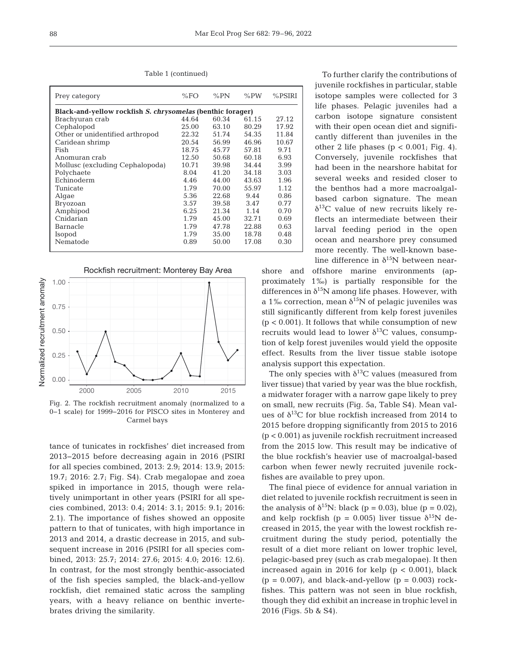Table 1 (continued)

| Prey category                                              | %FO   | % $PN$ | % $PW$ | $%$ PSIRI |
|------------------------------------------------------------|-------|--------|--------|-----------|
| Black-and-yellow rockfish S. chrysomelas (benthic forager) |       |        |        |           |
| Brachyuran crab                                            | 44.64 | 60.34  | 61.15  | 27.12     |
| Cephalopod                                                 | 25.00 | 63.10  | 80.29  | 17.92     |
| Other or unidentified arthropod                            | 22.32 | 51.74  | 54.35  | 11.84     |
| Caridean shrimp                                            | 20.54 | 56.99  | 46.96  | 10.67     |
| Fish                                                       | 18.75 | 45.77  | 57.81  | 9.71      |
| Anomuran crab                                              | 12.50 | 50.68  | 60.18  | 6.93      |
| Mollusc (excluding Cephalopoda)                            | 10.71 | 39.98  | 34.44  | 3.99      |
| Polychaete                                                 | 8.04  | 41.20  | 34.18  | 3.03      |
| Echinoderm                                                 | 4.46  | 44.00  | 43.63  | 1.96      |
| Tunicate                                                   | 1.79  | 70.00  | 55.97  | 1.12      |
| Algae                                                      | 5.36  | 22.68  | 9.44   | 0.86      |
| Bryozoan                                                   | 3.57  | 39.58  | 3.47   | 0.77      |
| Amphipod                                                   | 6.25  | 21.34  | 1.14   | 0.70      |
| Cnidarian                                                  | 1.79  | 45.00  | 32.71  | 0.69      |
| Barnacle                                                   | 1.79  | 47.78  | 22.88  | 0.63      |
| Isopod                                                     | 1.79  | 35.00  | 18.78  | 0.48      |
| Nematode                                                   | 0.89  | 50.00  | 17.08  | 0.30      |
|                                                            |       |        |        |           |



Fig. 2. The rockfish recruitment anomaly (normalized to a 0−1 scale) for 1999−2016 for PISCO sites in Monterey and Carmel bays

tance of tunicates in rockfishes' diet increased from 2013−2015 before decreasing again in 2016 (PSIRI for all species combined, 2013: 2.9; 2014: 13.9; 2015: 19.7; 2016: 2.7; Fig. S4). Crab megalopae and zoea spiked in importance in 2015, though were relatively unimportant in other years (PSIRI for all species combined, 2013: 0.4; 2014: 3.1; 2015: 9.1; 2016: 2.1). The importance of fishes showed an opposite pattern to that of tunicates, with high importance in 2013 and 2014, a drastic decrease in 2015, and subsequent increase in 2016 (PSIRI for all species combined, 2013: 25.7; 2014: 27.6; 2015: 4.0; 2016: 12.6). In contrast, for the most strongly benthic-associated of the fish species sampled, the black-and-yellow rockfish, diet remained static across the sampling years, with a heavy reliance on benthic invertebrates driving the similarity.

To further clarify the contributions of juvenile rockfishes in particular, stable isotope samples were collected for 3 life phases. Pelagic juveniles had a carbon isotope signature consistent with their open ocean diet and significantly different than juveniles in the other 2 life phases ( $p < 0.001$ ; Fig. 4). Conversely, juvenile rockfishes that had been in the nearshore habitat for several weeks and resided closer to the benthos had a more macroalgalbased carbon signature. The mean  $\delta^{13}$ C value of new recruits likely reflects an intermediate between their larval feeding period in the open ocean and nearshore prey consumed more recently. The well-known baseline difference in  $\delta^{15}N$  between near-

shore and offshore marine environments (approximately 1‰) is partially responsible for the differences in  $\delta^{15}N$  among life phases. However, with a 1‰ correction, mean  $\delta^{15}N$  of pelagic juveniles was still significantly different from kelp forest juveniles  $(p < 0.001)$ . It follows that while consumption of new recruits would lead to lower  $\delta^{13}$ C values, consumption of kelp forest juveniles would yield the opposite effect. Results from the liver tissue stable isotope analysis support this expectation.

The only species with  $\delta^{13}$ C values (measured from liver tissue) that varied by year was the blue rockfish, a midwater forager with a narrow gape likely to prey on small, new recruits (Fig. 5a, Table S4). Mean values of  $\delta^{13}$ C for blue rockfish increased from 2014 to 2015 before dropping significantly from 2015 to 2016 (p < 0.001) as juvenile rockfish recruitment increased from the 2015 low. This result may be indicative of the blue rockfish's heavier use of macroalgal-based carbon when fewer newly recruited juvenile rockfishes are available to prey upon.

The final piece of evidence for annual variation in diet related to juvenile rockfish recruitment is seen in the analysis of  $\delta^{15}N$ : black (p = 0.03), blue (p = 0.02), and kelp rockfish (p = 0.005) liver tissue  $\delta^{15}$ N decreased in 2015, the year with the lowest rockfish re cruitment during the study period, potentially the result of a diet more reliant on lower trophic level, pelagic-based prey (such as crab megalopae). It then increased again in 2016 for kelp  $(p < 0.001)$ , black  $(p = 0.007)$ , and black-and-yellow  $(p = 0.003)$  rockfishes. This pattern was not seen in blue rockfish, though they did exhibit an increase in trophic level in 2016 (Figs. 5b & S4).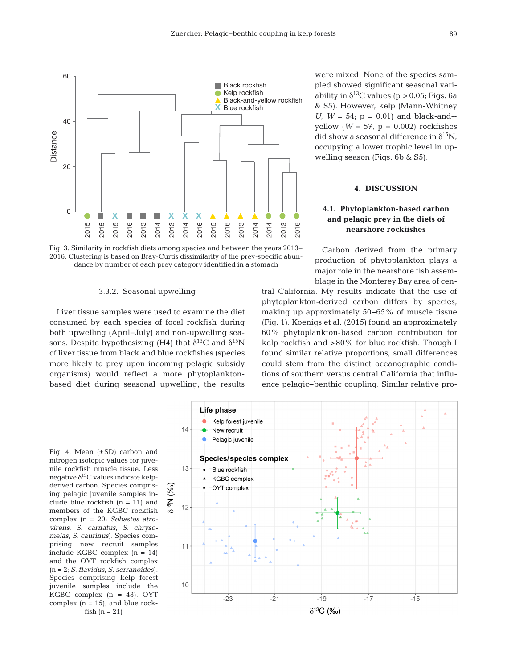



#### 3.3.2. Seasonal upwelling

Liver tissue samples were used to examine the diet consumed by each species of focal rockfish during both upwelling (April−July) and non-upwelling seasons. Despite hypothesizing (H4) that  $\delta^{13}$ C and  $\delta^{15}$ N of liver tissue from black and blue rockfishes (species more likely to prey upon incoming pelagic subsidy organisms) would reflect a more phytoplanktonbased diet during seasonal upwelling, the results

were mixed. None of the species sampled showed significant seasonal variability in  $\delta^{13}$ C values (p > 0.05; Figs. 6a & S5). However, kelp (Mann-Whitney *U*,  $W = 54$ ;  $p = 0.01$  and black-and-yellow  $(W = 57, p = 0.002)$  rockfishes did show a seasonal difference in  $\delta^{15}N$ , occupying a lower trophic level in up welling season (Figs. 6b & S5).

## **4. DISCUSSION**

# **4.1. Phytoplankton-based carbon and pelagic prey in the diets of nearshore rockfishes**

Carbon derived from the primary production of phytoplankton plays a major role in the nearshore fish assemblage in the Monterey Bay area of cen-

tral California. My results indicate that the use of phytoplankton- derived carbon differs by species, making up approximately 50−65% of muscle tissue (Fig. 1). Koenigs et al. (2015) found an approximately 60% phytoplankton-based carbon contribution for kelp rockfish and >80% for blue rockfish. Though I found similar relative proportions, small differences could stem from the distinct oceanographic conditions of southern versus central California that influence pelagic−benthic coupling. Similar relative pro-

Fig. 4. Mean  $(\pm SD)$  carbon and nitrogen isotopic values for juvenile rockfish muscle tissue. Less negative  $\delta^{13}$ C values indicate kelpderived carbon. Species comprising pelagic juvenile samples include blue rockfish (n = 11) and members of the KGBC rockfish complex (n = 20; *Sebastes atrovirens*, *S. carnatus*, *S. chryso melas*, *S. caurinus*). Species comprising new recruit samples include KGBC complex (n = 14) and the OYT rockfish complex (n = 2; *S. flavidus*, *S. serranoides*). Species comprising kelp forest juvenile samples include the KGBC complex  $(n = 43)$ , OYT complex  $(n = 15)$ , and blue rockfish  $(n = 21)$ 

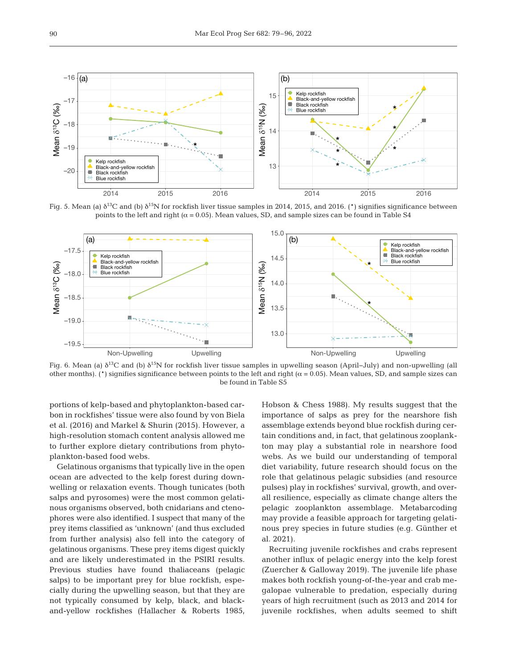

Fig. 5. Mean (a)  $\delta^{13}C$  and (b)  $\delta^{15}N$  for rockfish liver tissue samples in 2014, 2015, and 2016. (\*) signifies significance between points to the left and right ( $\alpha$  = 0.05). Mean values, SD, and sample sizes can be found in Table S4



Fig. 6. Mean (a)  $\delta^{13}C$  and (b)  $\delta^{15}N$  for rockfish liver tissue samples in upwelling season (April–July) and non-upwelling (all other months). (\*) signifies significance between points to the left and right ( $\alpha$  = 0.05). Mean values, SD, and sample sizes can be found in Table S5

portions of kelp-based and phytoplankton-based carbon in rockfishes' tissue were also found by von Biela et al. (2016) and Markel & Shurin (2015). However, a high-resolution stomach content analysis allowed me to further explore dietary contributions from phytoplankton-based food webs.

Gelatinous organisms that typically live in the open ocean are advected to the kelp forest during downwelling or relaxation events. Though tunicates (both salps and pyrosomes) were the most common gelatinous organisms observed, both cnidarians and cteno phores were also identified. I suspect that many of the prey items classified as 'unknown' (and thus excluded from further analysis) also fell into the category of gelatinous organisms. These prey items digest quickly and are likely underestimated in the PSIRI results. Previous studies have found thaliaceans (pelagic salps) to be important prey for blue rockfish, especially during the upwelling season, but that they are not typically consumed by kelp, black, and blackand-yellow rockfishes (Hallacher & Roberts 1985, Hobson & Chess 1988). My results suggest that the importance of salps as prey for the nearshore fish assemblage extends beyond blue rockfish during certain conditions and, in fact, that gelatinous zooplankton may play a substantial role in nearshore food webs. As we build our understanding of temporal diet variability, future research should focus on the role that gelatinous pelagic subsidies (and resource pulses) play in rockfishes' survival, growth, and overall resilience, especially as climate change alters the pelagic zooplankton assemblage. Metabarcoding may provide a feasible approach for targeting gelatinous prey species in future studies (e.g. Günther et al. 2021).

Recruiting juvenile rockfishes and crabs represent another influx of pelagic energy into the kelp forest (Zuercher & Galloway 2019). The juvenile life phase makes both rockfish young-of-the-year and crab me galopae vulnerable to predation, especially during years of high recruitment (such as 2013 and 2014 for juvenile rockfishes, when adults seemed to shift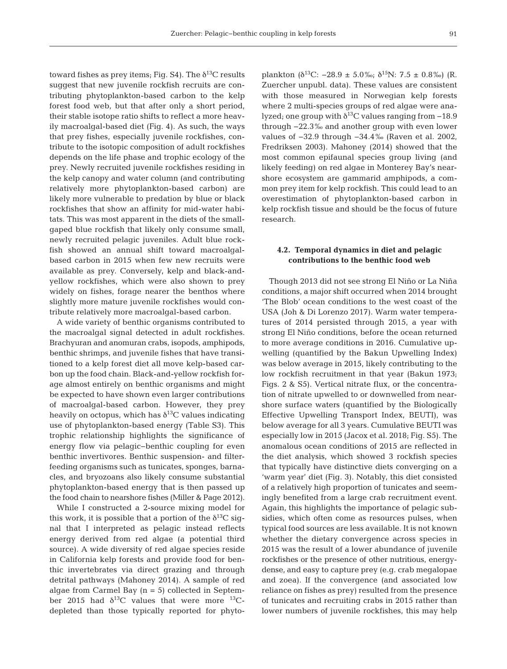toward fishes as prey items; Fig. S4). The  $\delta^{13}$ C results suggest that new juvenile rockfish recruits are contributing phytoplankton-based carbon to the kelp forest food web, but that after only a short period, their stable isotope ratio shifts to reflect a more heavily macroalgal-based diet (Fig. 4). As such, the ways that prey fishes, especially juvenile rockfishes, contribute to the isotopic composition of adult rockfishes depends on the life phase and trophic ecology of the prey. Newly recruited juvenile rockfishes residing in the kelp canopy and water column (and contributing relatively more phytoplankton-based carbon) are likely more vulnerable to predation by blue or black rockfishes that show an affinity for mid-water habitats. This was most apparent in the diets of the smallgaped blue rockfish that likely only consume small, newly recruited pelagic juveniles. Adult blue rockfish showed an annual shift toward macroalgalbased carbon in 2015 when few new recruits were available as prey. Conversely, kelp and black-andyellow rockfishes, which were also shown to prey widely on fishes, forage nearer the benthos where slightly more mature juvenile rockfishes would contribute relatively more macroalgal-based carbon.

A wide variety of benthic organisms contributed to the macroalgal signal detected in adult rockfishes. Brachyuran and anomuran crabs, isopods, amphipods, benthic shrimps, and juvenile fishes that have transitioned to a kelp forest diet all move kelp-based carbon up the food chain. Black-and-yellow rockfish forage almost entirely on benthic organisms and might be expected to have shown even larger contributions of macroalgal-based carbon. However, they prey heavily on octopus, which has  $\delta^{13}$ C values indicating use of phytoplankton-based energy (Table S3). This trophic relationship highlights the significance of energy flow via pelagic−benthic coupling for even benthic invertivores. Benthic suspension- and filterfeeding organisms such as tunicates, sponges, barnacles, and bryozoans also likely consume substantial phytoplankton-based energy that is then passed up the food chain to nearshore fishes (Miller & Page 2012).

While I constructed a 2-source mixing model for this work, it is possible that a portion of the  $\delta^{13}C$  signal that I interpreted as pelagic instead reflects energy derived from red algae (a potential third source). A wide diversity of red algae species reside in California kelp forests and provide food for benthic invertebrates via direct grazing and through detrital pathways (Mahoney 2014). A sample of red algae from Carmel Bay  $(n = 5)$  collected in September 2015 had  $\delta^{13}$ C values that were more  $^{13}$ Cdepleted than those typically reported for phytoplankton ( $\delta^{13}$ C: −28.9 ± 5.0‰;  $\delta^{15}$ N: 7.5 ± 0.8‰) (R. Zuercher unpubl. data). These values are consistent with those measured in Norwegian kelp forests where 2 multi-species groups of red algae were analyzed; one group with  $\delta^{13}$ C values ranging from -18.9 through −22.3‰ and another group with even lower values of −32.9 through −34.4‰ (Raven et al. 2002, Fredriksen 2003). Mahoney (2014) showed that the most common epifaunal species group living (and likely feeding) on red algae in Monterey Bay's nearshore ecosystem are gammarid amphipods, a common prey item for kelp rockfish. This could lead to an overestimation of phytoplankton-based carbon in kelp rockfish tissue and should be the focus of future research.

## **4.2. Temporal dynamics in diet and pelagic contributions to the benthic food web**

Though 2013 did not see strong El Niño or La Niña conditions, a major shift occurred when 2014 brought 'The Blob' ocean conditions to the west coast of the USA (Joh & Di Lorenzo 2017). Warm water temperatures of 2014 persisted through 2015, a year with strong El Niño conditions, before the ocean returned to more average conditions in 2016. Cumulative upwelling (quantified by the Bakun Upwelling Index) was below average in 2015, likely contributing to the low rockfish recruitment in that year (Bakun 1973; Figs. 2 & S5). Vertical nitrate flux, or the concentration of nitrate upwelled to or downwelled from nearshore surface waters (quantified by the Biologically Effective Upwelling Transport Index, BEUTI), was below average for all 3 years. Cumulative BEUTI was especially low in 2015 (Jacox et al. 2018; Fig. S5). The anomalous ocean conditions of 2015 are reflected in the diet analysis, which showed 3 rockfish species that typically have distinctive diets converging on a 'warm year' diet (Fig. 3). Notably, this diet consisted of a relatively high proportion of tunicates and seemingly benefited from a large crab recruitment event. Again, this highlights the importance of pelagic subsidies, which often come as resources pulses, when typical food sources are less available. It is not known whether the dietary convergence across species in 2015 was the result of a lower abundance of juvenile rockfishes or the presence of other nutritious, energydense, and easy to capture prey (e.g. crab megalopae and zoea). If the convergence (and associated low reliance on fishes as prey) resulted from the presence of tunicates and recruiting crabs in 2015 rather than lower numbers of juvenile rockfishes, this may help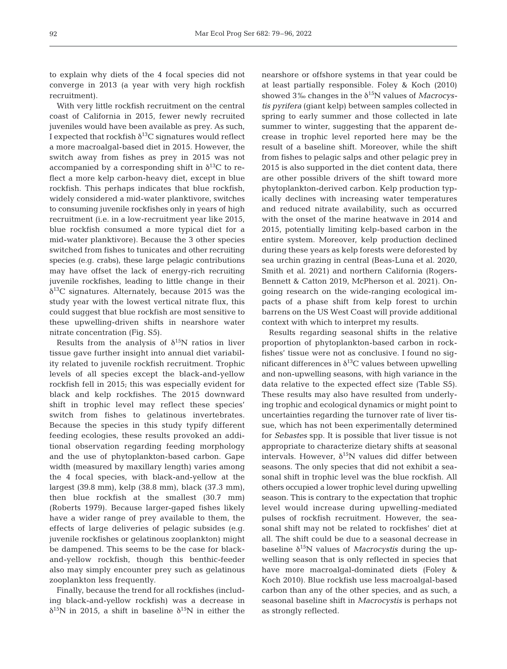to explain why diets of the 4 focal species did not converge in 2013 (a year with very high rockfish recruitment).

With very little rockfish recruitment on the central coast of California in 2015, fewer newly recruited juveniles would have been available as prey. As such, I expected that rockfish  $\delta^{13}C$  signatures would reflect a more macroalgal-based diet in 2015. However, the switch away from fishes as prey in 2015 was not accompanied by a corresponding shift in  $\delta^{13}C$  to reflect a more kelp carbon-heavy diet, except in blue rockfish. This perhaps indicates that blue rockfish, widely considered a mid-water planktivore, switches to consuming juvenile rockfishes only in years of high recruitment (i.e. in a low-recruitment year like 2015, blue rockfish consumed a more typical diet for a mid-water planktivore). Because the 3 other species switched from fishes to tunicates and other recruiting species (e.g. crabs), these large pelagic contributions may have offset the lack of energy-rich recruiting juvenile rockfishes, leading to little change in their  $\delta^{13}$ C signatures. Alternately, because 2015 was the study year with the lowest vertical nitrate flux, this could suggest that blue rockfish are most sensitive to these upwelling-driven shifts in nearshore water nitrate concentration (Fig. S5).

Results from the analysis of  $\delta^{15}N$  ratios in liver tissue gave further insight into annual diet variability related to juvenile rockfish recruitment. Trophic levels of all species except the black-and-yellow rockfish fell in 2015; this was especially evident for black and kelp rockfishes. The 2015 downward shift in trophic level may reflect these species' switch from fishes to gelatinous invertebrates. Because the species in this study typify different feeding ecologies, these results provoked an additional observation regarding feeding morphology and the use of phytoplankton-based carbon. Gape width (measured by maxillary length) varies among the 4 focal species, with black-and-yellow at the largest (39.8 mm), kelp (38.8 mm), black (37.3 mm), then blue rockfish at the smallest (30.7 mm) (Roberts 1979). Because larger-gaped fishes likely have a wider range of prey available to them, the effects of large deliveries of pelagic subsides (e.g. juvenile rockfishes or gelatinous zooplankton) might be dampened. This seems to be the case for blackand-yellow rockfish, though this benthic-feeder also may simply encounter prey such as gelatinous zooplankton less frequently.

Finally, because the trend for all rockfishes (including black-and-yellow rockfish) was a decrease in  $\delta^{15}$ N in 2015, a shift in baseline  $\delta^{15}$ N in either the nearshore or offshore systems in that year could be at least partially responsible. Foley & Koch (2010) showed  $3\%$  changes in the  $\delta^{15}N$  values of *Macrocystis pyrifera* (giant kelp) between samples collected in spring to early summer and those collected in late summer to winter, suggesting that the apparent decrease in trophic level reported here may be the result of a baseline shift. Moreover, while the shift from fishes to pelagic salps and other pelagic prey in 2015 is also supported in the diet content data, there are other possible drivers of the shift toward more phytoplankton-derived carbon. Kelp production typically declines with increasing water temperatures and reduced nitrate availability, such as occurred with the onset of the marine heatwave in 2014 and 2015, potentially limiting kelp-based carbon in the entire system. Moreover, kelp production declined during these years as kelp forests were deforested by sea urchin grazing in central (Beas-Luna et al. 2020, Smith et al. 2021) and northern California (Rogers-Bennett & Catton 2019, McPherson et al. 2021). On going research on the wide-ranging ecological im pacts of a phase shift from kelp forest to urchin barrens on the US West Coast will provide additional context with which to interpret my results.

Results regarding seasonal shifts in the relative proportion of phytoplankton-based carbon in rockfishes' tissue were not as conclusive. I found no significant differences in  $\delta^{13}$ C values between upwelling and non-upwelling seasons, with high variance in the data relative to the expected effect size (Table S5). These results may also have resulted from underlying trophic and ecological dynamics or might point to uncertainties regarding the turnover rate of liver tissue, which has not been experimentally determined for *Sebastes* spp. It is possible that liver tissue is not appropriate to characterize dietary shifts at seasonal intervals. However,  $\delta^{15}N$  values did differ between seasons. The only species that did not exhibit a seasonal shift in trophic level was the blue rockfish. All others occupied a lower trophic level during up welling season. This is contrary to the expectation that trophic level would increase during upwelling-mediated pulses of rockfish recruitment. However, the seasonal shift may not be related to rockfishes' diet at all. The shift could be due to a seasonal decrease in baseline  $\delta^{15}$ N values of *Macrocystis* during the upwelling season that is only reflected in species that have more macroalgal-dominated diets (Foley & Koch 2010). Blue rockfish use less macroalgal-based carbon than any of the other species, and as such, a seasonal baseline shift in *Macrocystis* is perhaps not as strongly reflected.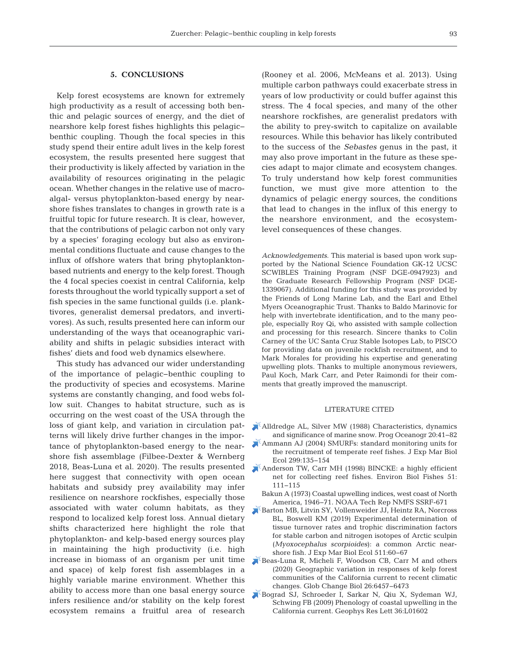# **5. CONCLUSIONS**

Kelp forest ecosystems are known for extremely high productivity as a result of accessing both benthic and pelagic sources of energy, and the diet of nearshore kelp forest fishes highlights this pelagic− benthic coupling. Though the focal species in this study spend their entire adult lives in the kelp forest ecosystem, the results presented here suggest that their productivity is likely affected by variation in the availability of resources originating in the pelagic ocean. Whether changes in the relative use of macroalgal- versus phytoplankton-based energy by nearshore fishes translates to changes in growth rate is a fruitful topic for future research. It is clear, however, that the contributions of pelagic carbon not only vary by a species' foraging ecology but also as environmental conditions fluctuate and cause changes to the influx of offshore waters that bring phytoplanktonbased nutrients and energy to the kelp forest. Though the 4 focal species coexist in central California, kelp forests throughout the world typically support a set of fish species in the same functional guilds (i.e. planktivores, generalist demersal predators, and invertivores). As such, results presented here can inform our understanding of the ways that oceanographic variability and shifts in pelagic subsidies interact with fishes' diets and food web dynamics elsewhere.

This study has advanced our wider understanding of the importance of pelagic−benthic coupling to the productivity of species and ecosystems. Marine systems are constantly changing, and food webs follow suit. Changes to habitat structure, such as is occurring on the west coast of the USA through the loss of giant kelp, and variation in circulation patterns will likely drive further changes in the importance of phytoplankton-based energy to the nearshore fish assemblage (Filbee-Dexter & Wernberg 2018, Beas-Luna et al. 2020). The results presented here suggest that connectivity with open ocean habitats and subsidy prey availability may infer resilience on nearshore rockfishes, especially those associated with water column habitats, as they respond to localized kelp forest loss. Annual dietary shifts characterized here highlight the role that phytoplankton- and kelp-based energy sources play in maintaining the high productivity (i.e. high increase in biomass of an organism per unit time and space) of kelp forest fish assemblages in a highly variable marine environment. Whether this ability to access more than one basal energy source infers resilience and/or stability on the kelp forest ecosystem remains a fruitful area of research

(Rooney et al. 2006, McMeans et al. 2013). Using multiple carbon pathways could exacerbate stress in years of low productivity or could buffer against this stress. The 4 focal species, and many of the other nearshore rockfishes, are generalist predators with the ability to prey-switch to capitalize on available resources. While this behavior has likely contributed to the success of the *Sebastes* genus in the past, it may also prove important in the future as these species adapt to major climate and ecosystem changes. To truly understand how kelp forest communities function, we must give more attention to the dynamics of pelagic energy sources, the conditions that lead to changes in the influx of this energy to the nearshore environment, and the ecosystemlevel consequences of these changes.

*Acknowledgements*. This material is based upon work supported by the National Science Foundation GK-12 UCSC SCWIBLES Training Program (NSF DGE-0947923) and the Graduate Research Fellowship Program (NSF DGE-1339067). Additional funding for this study was provided by the Friends of Long Marine Lab, and the Earl and Ethel Myers Oceanographic Trust. Thanks to Baldo Marinovic for help with invertebrate identification, and to the many people, especially Roy Qi, who assisted with sample collection and processing for this research. Sincere thanks to Colin Carney of the UC Santa Cruz Stable Isotopes Lab, to PISCO for providing data on juvenile rockfish recruitment, and to Mark Morales for providing his expertise and generating upwelling plots. Thanks to multiple anonymous reviewers, Paul Koch, Mark Carr, and Peter Raimondi for their comments that greatly improved the manuscript.

#### LITERATURE CITED

- [Alldredge AL, Silver MW \(1988\) Characteristics, dynamics](https://doi.org/10.1016/0079-6611(88)90053-5) and significance of marine snow. Prog Oceanogr 20:41–82
- Ammann AJ (2004) SMURFs: standard monitoring units for the recruitment of temperate reef fishes. J Exp Mar Biol Ecol 299: 135−154
- [Anderson TW, Carr MH \(1998\) BINCKE:a highly efficient](https://doi.org/10.1023/A%3A1007355408723) net for collecting reef fishes. Environ Biol Fishes 51: 111−115
	- Bakun A (1973) Coastal upwelling indices, west coast of North America, 1946−71. NOAA Tech Rep NMFS SSRF-671
- [Barton MB, Litvin SY, Vollenweider JJ, Heintz RA, Norcross](https://doi.org/10.1016/j.jembe.2018.11.005) BL, Boswell KM (2019) Experimental determination of tissue turnover rates and trophic discrimination factors for stable carbon and nitrogen isotopes of Arctic sculpin (*Myoxocephalus scorpioides*):a common Arctic nearshore fish. J Exp Mar Biol Ecol 511:60-67
- [Beas-Luna R, Micheli F, Woodson CB, Carr M and others](https://doi.org/10.1111/gcb.15273) (2020) Geographic variation in responses of kelp forest communities of the California current to recent climatic changes. Glob Change Biol 26: 6457−6473
- [Bograd SJ, Schroeder I, Sarkar N, Qiu X, Sydeman WJ,](https://doi.org/10.1029/2008GL035933) Schwing FB (2009) Phenology of coastal upwelling in the California current. Geophys Res Lett 36: L01602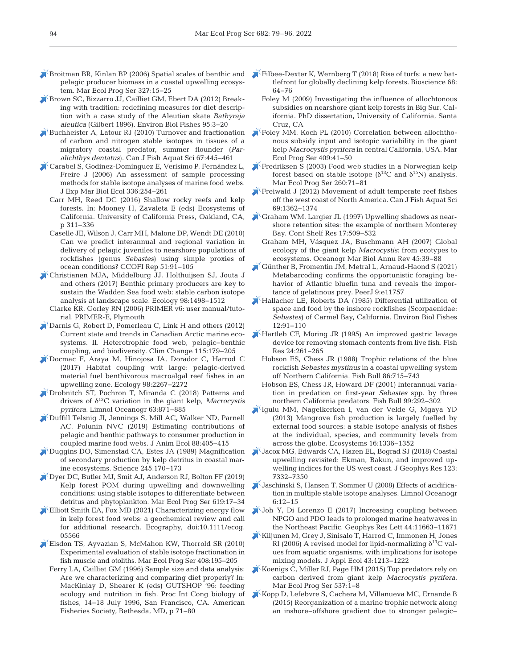- [Broitman BR, Kinlan BP \(2006\) Spatial scales of benthic and](https://doi.org/10.3354/meps327015) pelagic producer biomass in a coastal upwelling ecosystem. Mar Ecol Prog Ser 327: 15−25
- [Brown SC, Bizzarro JJ, Cailliet GM, Ebert DA \(2012\) Break](https://doi.org/10.1007/s10641-011-9959-z)ing with tradition: redefining measures for diet description with a case study of the Aleutian skate *Bathyraja* aleutica (Gilbert 1896). Environ Biol Fishes 95:3-20
- [Buchheister A, Latour RJ \(2010\) Turnover and fractionation](https://doi.org/10.1139/F09-196) of carbon and nitrogen stable isotopes in tissues of a migratory coastal predator, summer flounder (*Paralichthys dentatus*). Can J Fish Aquat Sci 67: 445−461
- [Carabel S, Godínez-Domínguez E, Verísimo P, Fernández L,](https://doi.org/10.1016/j.jembe.2006.06.001) Freire J (2006) An assessment of sample processing methods for stable isotope analyses of marine food webs. J Exp Mar Biol Ecol 336:254-261
	- Carr MH, Reed DC (2016) Shallow rocky reefs and kelp forests. In: Mooney H, Zavaleta E (eds) Ecosystems of California. University of California Press, Oakland, CA, p 311−336
	- Caselle JE, Wilson J, Carr MH, Malone DP, Wendt DE (2010) Can we predict interannual and regional variation in delivery of pelagic juveniles to nearshore populations of rockfishes (genus *Sebastes*) using simple proxies of ocean conditions? CCOFI Rep 51:91-105
- [Christianen MJA, Middelburg JJ, Holthuijsen SJ, Jouta J](https://doi.org/10.1002/ecy.1837) and others (2017) Benthic primary producers are key to sustain the Wadden Sea food web: stable carbon isotope analysis at landscape scale. Ecology 98: 1498−1512
	- Clarke KR, Gorley RN (2006) PRIMER v6: user manual/tutorial. PRIMER-E, Plymouth
- [Darnis G, Robert D, Pomerleau C, Link H and others \(2012\)](https://doi.org/10.1007/s10584-012-0483-8) Current state and trends in Canadian Arctic marine ecosystems. II. Heterotrophic food web, pelagic−benthic coupling, and biodiversity. Clim Change 115: 179−205
- [Docmac F, Araya M, Hinojosa IA, Dorador C, Harrod C](https://doi.org/10.1002/ecy.1936) (2017) Habitat coupling writ large: pelagic-derived material fuel benthivorous macroalgal reef fishes in an upwelling zone. Ecology 98: 2267−2272
- [Drobnitch ST, Pochron T, Miranda C \(2018\) Patterns and](https://doi.org/10.1002/lno.10675) drivers of δ13C variation in the giant kelp, *Macrocystis pyrifera.* Limnol Oceanogr 63: 871−885
- [Duffill Telsnig JI, Jennings S, Mill AC, Walker ND, Parnell](https://www.ncbi.nlm.nih.gov/entrez/query.fcgi?cmd=Retrieve&db=PubMed&list_uids=30548858&dopt=Abstract) AC, Polunin NVC (2019) Estimating contributions of pelagic and benthic pathways to consumer production in coupled marine food webs. J Anim Ecol 88: 405−415
- [Duggins DO, Simenstad CA, Estes JA \(1989\) Magnification](https://doi.org/10.1126/science.245.4914.170) of secondary production by kelp detritus in coastal marine ecosystems. Science 245: 170−173
- [Dyer DC, Butler MJ, Smit AJ, Anderson RJ, Bolton FF \(2019\)](https://doi.org/10.3354/meps12941) Kelp forest POM during upwelling and downwelling conditions: using stable isotopes to differentiate between detritus and phytoplankton. Mar Ecol Prog Ser 619:17-34
- [Elliott Smith EA, Fox MD \(2021\) Characterizing energy flow](https://doi.org/10.1111/ecog.05566) in kelp forest food webs: a geochemical review and call for additional research. Ecography, doi:10.1111/ecog. 05566
- [Elsdon TS, Ayvazian S, McMahon KW, Thorrold SR \(2010\)](https://doi.org/10.3354/meps08518) Experimental evaluation of stable isotope fractionation in fish muscle and otoliths. Mar Ecol Prog Ser 408: 195−205
	- Ferry LA, Cailliet GM (1996) Sample size and data analysis: Are we characterizing and comparing diet properly? In: MacKinlay D, Shearer K (eds) GUTSHOP '96: feeding ecology and nutrition in fish. Proc Int Cong biology of fishes, 14−18 July 1996, San Francisco, CA. American Fisheries Society, Bethesda, MD, p 71−80
- Filbee-Dexter K, Wernberg T (2018) Rise of turfs: a new battlefront for globally declining kelp forests. Bioscience 68: 64−76
	- Foley M (2009) Investigating the influence of allochtonous subsidies on nearshore giant kelp forests in Big Sur, California. PhD dissertation, University of California, Santa Cruz, CA
- [Foley MM, Koch PL \(2010\) Correlation between allochtho](https://doi.org/10.3354/meps08600)nous subsidy input and isotopic variability in the giant kelp *Macrocystis pyrifera* in central California, USA. Mar Ecol Prog Ser 409:41-50
- [Fredriksen S \(2003\) Food web studies in a Norwegian kelp](https://doi.org/10.3354/meps260071) forest based on stable isotope ( $\delta^{13}$ C and  $\delta^{15}$ N) analysis. Mar Ecol Prog Ser 260:71-81
- [Freiwald J \(2012\) Movement of adult temperate reef fishes](https://doi.org/10.1139/f2012-068) off the west coast of North America. Can J Fish Aquat Sci 69: 1362−1374
- [Graham WM, Largier JL \(1997\) Upwelling shadows as near](https://doi.org/10.1016/S0278-4343(96)00045-3)shore retention sites: the example of northern Monterey Bay. Cont Shelf Res 17: 509−532
	- Graham MH, Vásquez JA, Buschmann AH (2007) Global ecology of the giant kelp *Macrocystis*: from ecotypes to ecosystems. Oceanogr Mar Biol Annu Rev 45:39-88
- [Günther B, Fromentin JM, Metral L, Arnaud-Haond S \(2021\)](https://doi.org/10.7717/peerj.11757) Metabarcoding confirms the opportunistic foraging be havior of Atlantic bluefin tuna and reveals the importance of gelatinous prey. PeerJ 9:e11757
- [Hallacher LE, Roberts DA \(1985\) Differential utilization of](https://doi.org/10.1007/BF00002762) space and food by the inshore rockfishes (Scorpaenidae: *Sebastes*) of Carmel Bay, California. Environ Biol Fishes 12:91-110
- [Hartleb CF, Moring JR \(1995\) An improved gastric lavage](https://doi.org/10.1016/0165-7836(95)00390-V) device for removing stomach contents from live fish. Fish Res 24: 261−265
	- Hobson ES, Chess JR (1988) Trophic relations of the blue rockfish *Sebastes mystinus* in a coastal upwelling system off Northern California. Fish Bull 86: 715−743
	- Hobson ES, Chess JR, Howard DF (2001) Interannual variation in predation on first-year *Sebastes* spp. by three northern California predators. Fish Bull 99:292-302
- [Igulu MM, Nagelkerken I, van der Velde G, Mgaya YD](https://doi.org/10.1007/s10021-013-9687-7) (2013) Mangrove fish production is largely fuelled by external food sources: a stable isotope analysis of fishes at the individual, species, and community levels from across the globe. Ecosystems 16: 1336−1352
- [Jacox MG, Edwards CA, Hazen EL, Bograd SJ \(2018\) Coastal](https://doi.org/10.1029/2018JC014187) upwelling revisited: Ekman, Bakun, and improved upwelling indices for the US west coast. J Geophys Res 123: 7332−7350
- [Jaschinski S, Hansen T, Sommer U \(2008\) Effects of acidifica](https://doi.org/10.4319/lom.2008.6.12)tion in multiple stable isotope analyses. Limnol Oceanogr 6: 12−15
- [Joh Y, Di Lorenzo E \(2017\) Increasing coupling between](https://doi.org/10.1002/2017GL075930) NPGO and PDO leads to prolonged marine heatwaves in the Northeast Pacific. Geophys Res Lett 44: 11663−11671
- [Kiljunen M, Grey J, Sinisalo T, Harrod C, Immonen H, Jones](https://doi.org/10.1111/j.1365-2664.2006.01224.x) RI (2006) A revised model for lipid-normalizing  $\delta^{13}C$  values from aquatic organisms, with implications for isotope mixing models. J Appl Ecol 43: 1213−1222
- [Koenigs C, Miller RJ, Page HM \(2015\) Top predators rely on](https://doi.org/10.3354/meps11467) carbon derived from giant kelp *Macrocystis pyrifera.* Mar Ecol Prog Ser 537: 1−8
- [Kopp D, Lefebvre S, Cachera M, Villanueva MC, Ernande B](https://doi.org/10.1016/j.pocean.2014.11.001) (2015) Reorganization of a marine trophic network along an inshore−offshore gradient due to stronger pelagic−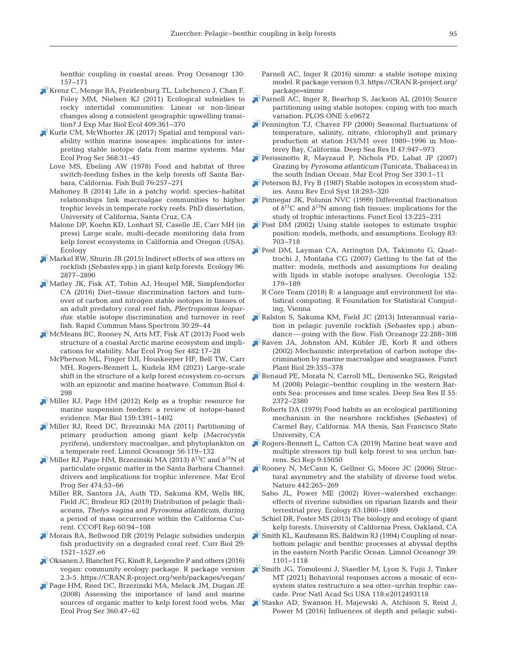benthic coupling in coastal areas. Prog Oceanogr 130: 157−171

- [Krenz C, Menge BA, Freidenburg TL, Lubchenco J, Chan F,](https://doi.org/10.1016/j.jembe.2011.10.003) Foley MM, Nielsen KJ (2011) Ecological subsidies to rocky intertidal communities: Linear or non-linear changes along a consistent geographic upwelling transition? J Exp Mar Biol Ecol 409:361-370
- [Kurle CM, McWhorter JK \(2017\) Spatial and temporal vari](https://doi.org/10.3354/meps12045)ability within marine isoscapes: implications for interpreting stable isotope data from marine systems. Mar Ecol Prog Ser 568: 31−45
	- Love MS, Ebeling AW (1978) Food and habitat of three switch-feeding fishes in the kelp forests off Santa Barbara, California. Fish Bull 76:257-271
	- Mahoney B (2014) Life in a patchy world: species-habitat relationships link macroalgae communities to higher trophic levels in temperate rocky reefs. PhD dissertation, University of California, Santa Cruz, CA
	- Malone DP, Koehn KD, Lonhart SI, Caselle JE, Carr MH (in press) Large scale, multi-decade monitoring data from kelp forest ecosystems in California and Oregon (USA). Ecology
- [Markel RW, Shurin JB \(2015\) Indirect effects of sea otters on](https://doi.org/10.1890/14-0492.1) rockfish (*Sebastes* spp.) in giant kelp forests. Ecology 96: 2877−2890
- [Matley JK, Fisk AT, Tobin AJ, Heupel MR, Simpfendorfer](https://doi.org/10.1002/rcm.7406) CA (2016) Diet−tissue discrimination factors and turnover of carbon and nitrogen stable isotopes in tissues of an adult predatory coral reef fish, *Plectropomus leopar*dus: stable isotope discrimination and turnover in reef fish. Rapid Commun Mass Spectrom 30: 29−44
- [McMeans BC, Rooney N, Arts MT, Fisk AT \(2013\) Food web](https://doi.org/10.3354/meps10278) structure of a coastal Arctic marine ecosystem and implications for stability. Mar Ecol Prog Ser 482: 17−28
	- McPherson ML, Finger DJI, Houskeeper HF, Bell TW, Carr MH, Rogers-Bennett L, Kudela RM (2021) Large-scale shift in the structure of a kelp forest ecosystem co-occurs with an epizootic and marine heatwave. Commun Biol 4: 298
- [Miller RJ, Page HM \(2012\) Kelp as a trophic resource for](https://doi.org/10.1007/s00227-012-1929-2) marine suspension feeders: a review of isotope-based evidence. Mar Biol 159: 1391−1402
- [Miller RJ, Reed DC, Brzezinski MA \(2011\) Partitioning of](https://doi.org/10.4319/lo.2011.56.1.0119) primary production among giant kelp (*Macrocystis pyrifera*), understory macroalgae, and phytoplankton on a temperate reef. Limnol Oceanogr 56: 119−132
- [Miller RJ, Page HM, Brzezinski MA \(2013\)](https://doi.org/10.3354/meps10098)  $\delta^{13}$ C and  $\delta^{15}$ N of particulate organic matter in the Santa Barbara Channel: drivers and implications for trophic inference. Mar Ecol Prog Ser 474:53-66
	- Miller RR, Santora JA, Auth TD, Sakuma KM, Wells BK, Field JC, Brodeur RD (2019) Distribution of pelagic thaliaceans, *Thetys vagina* and *Pyrosoma atlanticum*, during a period of mass occurrence within the California Current. CCOFI Rep 60:94-108
- [Morais RA, Bellwood DR \(2019\) Pelagic subsidies underpin](https://doi.org/10.1016/j.cub.2019.03.044) fish productivity on a degraded coral reef. Curr Biol 29: 1521−1527.e6
- [Oksanen J, Blanchet FG, Kindt R, Legendre P and others \(2016\)](https://cran.r-project.org/web/packages/vegan/) vegan: community ecology package. R package version 2.3-5. https://CRAN.R-project.org/web/packages/vegan/
- [Page HM, Reed DC, Brzezinski MA, Melack JM, Dugan JE](https://doi.org/10.3354/meps07382) (2008) Assessing the importance of land and marine sources of organic matter to kelp forest food webs. Mar Ecol Prog Ser 360:47-62
- Parnell AC, Inger R (2016) simmr: a stable isotope mixing model. R package version 0.3. https: //CRAN.R-project.org/ package=simmr
- [Parnell AC, Inger R, Bearhop S, Jackson AL \(2010\) Source](https://www.ncbi.nlm.nih.gov/entrez/query.fcgi?cmd=Retrieve&db=PubMed&list_uids=20300637&dopt=Abstract) partitioning using stable isotopes: coping with too much variation. PLOS ONE 5:e9672
- [Pennington TJ, Chavez FP \(2000\) Seasonal fluctuations of](https://doi.org/10.1016/S0967-0645(99)00132-0) temperature, salinity, nitrate, chlorophyll and primary production at station H3/M1 over 1989−1996 in Monterey Bay, California. Deep Sea Res II 47: 947−973
- [Perissinotto R, Mayzaud P, Nichols PD, Labat JP \(2007\)](https://doi.org/10.3354/meps330001) Grazing by *Pyrosoma atlanticum* (Tunicata, Thaliacea) in the south Indian Ocean. Mar Ecol Prog Ser 330: 1−11
- $\blacktriangleright$  [Peterson BJ, Fry B \(1987\) Stable isotopes in ecosystem stud](https://doi.org/10.1146/annurev.es.18.110187.001453)ies. Annu Rev Ecol Syst 18: 293−320
- [Pinnegar JK, Polunin NVC \(1999\) Differential fractionation](https://doi.org/10.1046/j.1365-2435.1999.00301.x) of  $δ<sup>13</sup>C$  and  $δ<sup>15</sup>N$  among fish tissues: implications for the study of trophic interactions. Funct Ecol 13: 225−231
- [Post DM \(2002\) Using stable isotopes to estimate trophic](https://doi.org/10.1890/0012-9658(2002)083%5b0703%3AUSITET%5d2.0.CO%3B2) position: models, methods, and assumptions. Ecology 83: 703−718
- [Post DM, Layman CA, Arrington DA, Takimoto G, Quat](https://doi.org/10.1007/s00442-006-0630-x)trochi J, Montaña CG (2007) Getting to the fat of the matter: models, methods and assumptions for dealing with lipids in stable isotope analyses. Oecologia 152: 179−189
	- R Core Team (2018) R: a language and environment for statistical computing. R Foundation for Statistical Computing, Vienna
- [Ralston S, Sakuma KM, Field JC \(2013\) Interannual varia](https://doi.org/10.1111/fog.12022)tion in pelagic juvenile rockfish (*Sebastes* spp.) abundance — going with the flow. Fish Oceanogr 22: 288−308
- [Raven JA, Johnston AM, Kübler JE, Korb R and others](https://doi.org/10.1071/PP01201) (2002) Mechanistic interpretation of carbon isotope discrimination by marine macroalgae and seagrasses. Funct Plant Biol 29:355-378
- [Renaud PE, Morata N, Carroll ML, Denisenko SG, Reigstad](https://doi.org/10.1016/j.dsr2.2008.05.017) M (2008) Pelagic−benthic coupling in the western Barents Sea: processes and time scales. Deep Sea Res II 55: 2372−2380
	- Roberts DA (1979) Food habits as an ecological partitioning mechanism in the nearshore rockfishes *(Sebastes)* of Carmel Bay, California. MA thesis, San Francisco State University, CA
- [Rogers-Bennett L, Catton CA \(2019\) Marine heat wave and](https://doi.org/10.1038/s41598-019-51114-y) multiple stressors tip bull kelp forest to sea urchin barrens. Sci Rep 9: 15050
- [Rooney N, McCann K, Gellner G, Moore JC \(2006\) Struc](https://doi.org/10.1038/nature04887)tural asymmetry and the stability of diverse food webs. Nature 442:265-269
	- Sabo JL, Power ME (2002) River−watershed exchange: effects of riverine subsidies on riparian lizards and their terrestrial prey. Ecology 83: 1860−1869
	- Schiel DR, Foster MS (2015) The biology and ecology of giant kelp forests. University of California Press, Oakland, CA
- [Smith KL, Kaufmann RS, Baldwin RJ \(1994\) Coupling of near](https://doi.org/10.4319/lo.1994.39.5.1101)bottom pelagic and benthic processes at abyssal depths in the eastern North Pacific Ocean. Limnol Oceanogr 39: 1101−1118
- [Smith JG, Tomoleoni J, Staedler M, Lyon S, Fujii J, Tinker](https://www.ncbi.nlm.nih.gov/entrez/query.fcgi?cmd=Retrieve&db=PubMed&list_uids=33836567&dopt=Abstract) MT (2021) Behavioral responses across a mosaic of ecosystem states restructure a sea otter−urchin trophic cascade. Proc Natl Acad Sci USA 118:e2012493118
- [Stasko AD, Swanson H, Majewski A, Atchison S, Reist J,](https://doi.org/10.3354/meps11709) Power M (2016) Influences of depth and pelagic subsi-